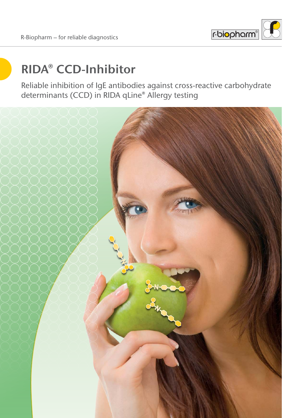

# **RIDA® CCD-Inhibitor**

Reliable inhibition of IgE antibodies against cross-reactive carbohydrate determinants (CCD) in RIDA qLine® Allergy testing

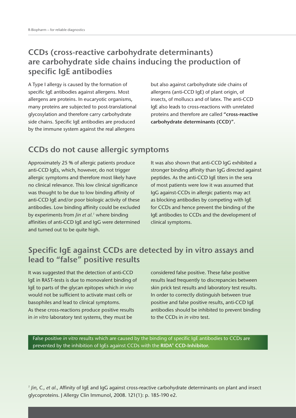### **CCDs (cross-reactive carbohydrate determinants) are carbohydrate side chains inducing the production of specific IgE antibodies**

A Type I allergy is caused by the formation of specific IgE antibodies against allergens. Most allergens are proteins. In eucaryotic organisms, many proteins are subjected to post-translational glycosylation and therefore carry carbohydrate side chains. Specific IgE antibodies are produced by the immune system against the real allergens

but also against carbohydrate side chains of allergens (anti-CCD IgE) of plant origin, of insects, of molluscs and of latex. The anti-CCD IgE also leads to cross-reactions with unrelated proteins and therefore are called **"cross-reactive carbohydrate determinants (CCD)".**

## **CCDs do not cause allergic symptoms**

Approximately 25 % of allergic patients produce anti-CCD IgEs, which, however, do not trigger allergic symptoms and therefore most likely have no clinical relevance. This low clinical significance was thought to be due to low binding affinity of anti-CCD IgE and/or poor biologic activity of these antibodies. Low binding affinity could be excluded by experiments from *Jin et al.<sup>1</sup>* where binding affinities of anti-CCD IgE and IgG were determined and turned out to be quite high.

It was also shown that anti-CCD IgG exhibited a stronger binding affinity than IgG directed against peptides. As the anti-CCD IgE titers in the sera of most patients were low it was assumed that IgG against-CCDs in allergic patients may act as blocking antibodies by competing with IgE for CCDs and hence prevent the binding of the IgE antibodies to CCDs and the development of clinical symptoms.

# **Specific IgE against CCDs are detected by in vitro assays and lead to "false" positive results**

It was suggested that the detection of anti-CCD IgE in RAST-tests is due to monovalent binding of IgE to parts of the glycan epitopes which *in vivo* would not be sufficient to activate mast cells or basophiles and lead to clinical symptoms. As these cross-reactions produce positive results in *in vitro* laboratory test systems, they must be

considered false positive. These false positive results lead frequently to discrepancies between skin prick test results and laboratory test results. In order to correctly distinguish between true positive and false positive results, anti-CCD IgE antibodies should be inhibited to prevent binding to the CCDs in *in vitro* test.

False positive *in vitro* results which are caused by the binding of specific IgE antibodies to CCDs are prevented by the inhibition of IgEs against CCDs with the **RIDA® CCD-Inhibitor.**

*1 Jin, C., et al.,* Affinity of IgE and IgG against cross-reactive carbohydrate determinants on plant and insect glycoproteins. J Allergy Clin Immunol, 2008. 121(1): p. 185-190 e2.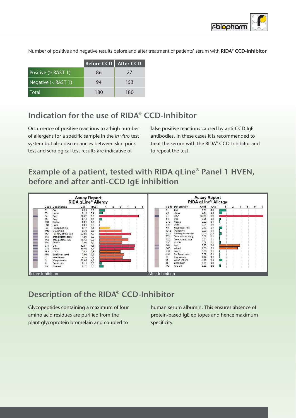

|                           | Before CCD   After CCD |     |
|---------------------------|------------------------|-----|
| Positive ( $\geq$ RAST 1) | 86                     | 27  |
| Negative (< RAST 1)       | 94                     | 153 |
| <b>Total</b>              | 180                    | 180 |

Number of positive and negative results before and after treatment of patients' serum with **RIDA® CCD-Inhibitor**

# **Indication for the use of RIDA® CCD-Inhibitor**

Occurrence of positive reactions to a high number of allergens for a specific sample in the *in vitro* test system but also discrepancies between skin prick test and serological test results are indicative of

false positive reactions caused by anti-CCD IgE antibodies. In these cases it is recommended to treat the serum with the RIDA® CCD-Inhibitor and to repeat the test.

# **Example of a patient, tested with RIDA qLine® Panel 1 HVEN, before and after anti-CCD IgE inhibition**



# **Description of the RIDA® CCD-Inhibitor**

Glycopeptides containing a maximum of four amino acid residues are purified from the plant glycoprotein bromelain and coupled to

human serum albumin. This ensures absence of protein-based IgE epitopes and hence maximum specificity.